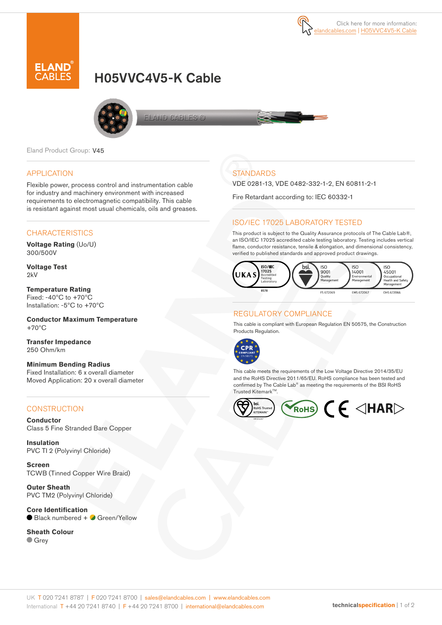



# H05VVC4V5-K Cable



ELAND CABLES C

Eland Product Group: V45

#### APPLICATION

Flexible power, process control and instrumentation cable for industry and machinery environment with increased requirements to electromagnetic compatibility. This cable is resistant against most usual chemicals, oils and greases.

## **CHARACTERISTICS**

**Voltage Rating** (Uo/U) 300/500V

**Voltage Test**  $2kV$ 

**Temperature Rating** Fixed: -40ºC to +70ºC Installation: -5ºC to +70ºC

**Conductor Maximum Temperature** +70ºC

**Transfer Impedance** 250 Ohm/km

**Minimum Bending Radius**  Fixed Installation: 6 x overall diameter Moved Application: 20 x overall diameter

#### **CONSTRUCTION**

**Conductor** Class 5 Fine Stranded Bare Copper

**Insulation** PVC TI 2 (Polyvinyl Chloride)

**Screen** TCWB (Tinned Copper Wire Braid)

**Outer Sheath** PVC TM2 (Polyvinyl Chloride)

**Core Identification** ● Black numbered + ● Green/Yellow

**Sheath Colour Grey** 

## **STANDARDS**

VDE 0281-13, VDE 0482-332-1-2, EN 60811-2-1

Fire Retardant according to: IEC 60332-1

#### ISO/IEC 17025 LABORATORY TESTED

This product is subject to the Quality Assurance protocols of The Cable Lab®, an ISO/IEC 17025 accredited cable testing laboratory. Testing includes vertical flame, conductor resistance, tensile & elongation, and dimensional consistency, verified to published standards and approved product drawings.



### REGULATORY COMPLIANCE

This cable is compliant with European Regulation EN 50575, the Construction Products Regulation.



This cable meets the requirements of the Low Voltage Directive 2014/35/EU and the RoHS Directive 2011/65/EU. RoHS compliance has been tested and confirmed by The Cable Lab® as meeting the requirements of the BSI RoHS Trusted KitemarkTM.